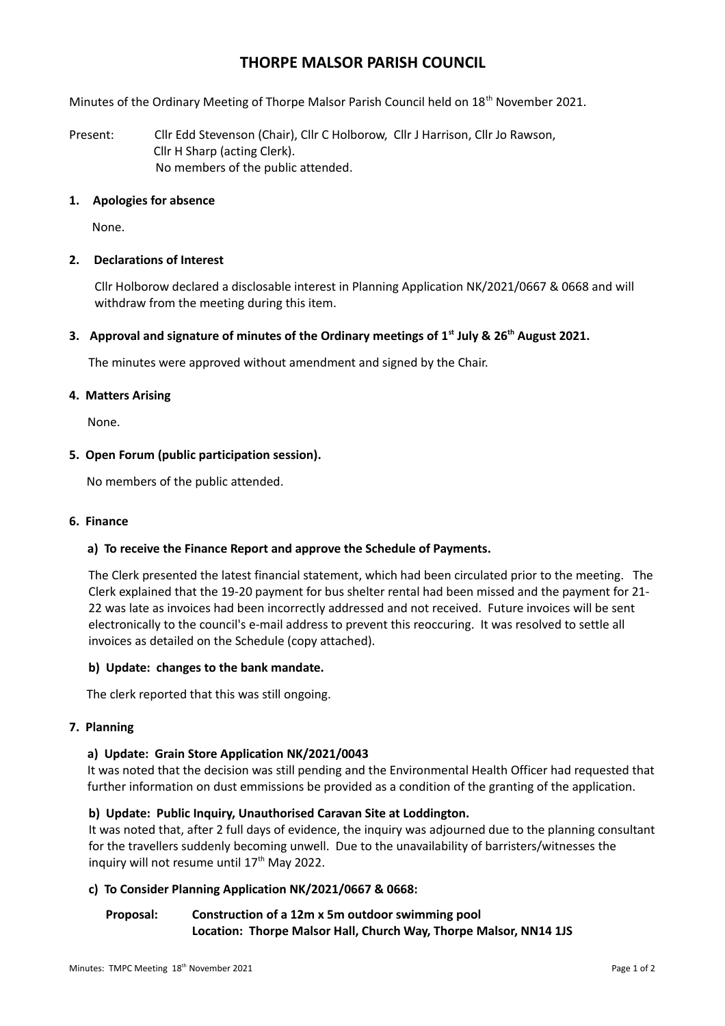# **THORPE MALSOR PARISH COUNCIL**

Minutes of the Ordinary Meeting of Thorpe Malsor Parish Council held on 18<sup>th</sup> November 2021.

Present: Cllr Edd Stevenson (Chair), Cllr C Holborow, Cllr J Harrison, Cllr Jo Rawson, Cllr H Sharp (acting Clerk). No members of the public attended.

#### **1. Apologies for absence**

None.

#### **2. Declarations of Interest**

Cllr Holborow declared a disclosable interest in Planning Application NK/2021/0667 & 0668 and will withdraw from the meeting during this item.

#### **3. Approval and signature of minutes of the Ordinary meetings of 1st July & 26th August 2021.**

The minutes were approved without amendment and signed by the Chair.

#### **4. Matters Arising**

None.

#### **5. Open Forum (public participation session).**

No members of the public attended.

#### **6. Finance**

#### **a) To receive the Finance Report and approve the Schedule of Payments.**

The Clerk presented the latest financial statement, which had been circulated prior to the meeting. The Clerk explained that the 19-20 payment for bus shelter rental had been missed and the payment for 21- 22 was late as invoices had been incorrectly addressed and not received. Future invoices will be sent electronically to the council's e-mail address to prevent this reoccuring. It was resolved to settle all invoices as detailed on the Schedule (copy attached).

#### **b) Update: changes to the bank mandate.**

The clerk reported that this was still ongoing.

#### **7. Planning**

#### **a) Update: Grain Store Application NK/2021/0043**

It was noted that the decision was still pending and the Environmental Health Officer had requested that further information on dust emmissions be provided as a condition of the granting of the application.

#### **b) Update: Public Inquiry, Unauthorised Caravan Site at Loddington.**

It was noted that, after 2 full days of evidence, the inquiry was adjourned due to the planning consultant for the travellers suddenly becoming unwell. Due to the unavailability of barristers/witnesses the inquiry will not resume until  $17<sup>th</sup>$  May 2022.

#### **c) To Consider Planning Application NK/2021/0667 & 0668:**

## **Proposal: Construction of a 12m x 5m outdoor swimming pool Location: Thorpe Malsor Hall, Church Way, Thorpe Malsor, NN14 1JS**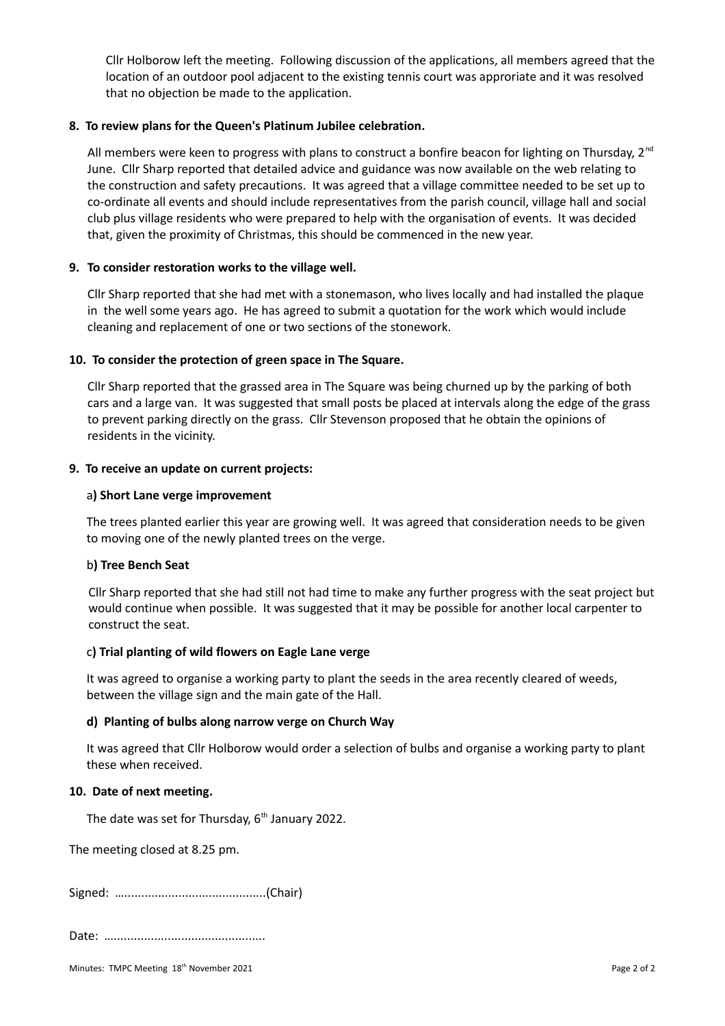Cllr Holborow left the meeting. Following discussion of the applications, all members agreed that the location of an outdoor pool adjacent to the existing tennis court was approriate and it was resolved that no objection be made to the application.

#### **8. To review plans for the Queen's Platinum Jubilee celebration.**

All members were keen to progress with plans to construct a bonfire beacon for lighting on Thursday,  $2^{nd}$ June. Cllr Sharp reported that detailed advice and guidance was now available on the web relating to the construction and safety precautions. It was agreed that a village committee needed to be set up to co-ordinate all events and should include representatives from the parish council, village hall and social club plus village residents who were prepared to help with the organisation of events. It was decided that, given the proximity of Christmas, this should be commenced in the new year.

## **9. To consider restoration works to the village well.**

Cllr Sharp reported that she had met with a stonemason, who lives locally and had installed the plaque in the well some years ago. He has agreed to submit a quotation for the work which would include cleaning and replacement of one or two sections of the stonework.

#### **10. To consider the protection of green space in The Square.**

Cllr Sharp reported that the grassed area in The Square was being churned up by the parking of both cars and a large van. It was suggested that small posts be placed at intervals along the edge of the grass to prevent parking directly on the grass. Cllr Stevenson proposed that he obtain the opinions of residents in the vicinity.

#### **9. To receive an update on current projects:**

## a**) Short Lane verge improvement**

The trees planted earlier this year are growing well. It was agreed that consideration needs to be given to moving one of the newly planted trees on the verge.

#### b**) Tree Bench Seat**

Cllr Sharp reported that she had still not had time to make any further progress with the seat project but would continue when possible. It was suggested that it may be possible for another local carpenter to construct the seat.

#### c**) Trial planting of wild flowers on Eagle Lane verge**

It was agreed to organise a working party to plant the seeds in the area recently cleared of weeds, between the village sign and the main gate of the Hall.

#### **d) Planting of bulbs along narrow verge on Church Way**

It was agreed that Cllr Holborow would order a selection of bulbs and organise a working party to plant these when received.

#### **10. Date of next meeting.**

The date was set for Thursday,  $6<sup>th</sup>$  January 2022.

The meeting closed at 8.25 pm.

Signed: …..........................................(Chair)

Date: …………………………………………